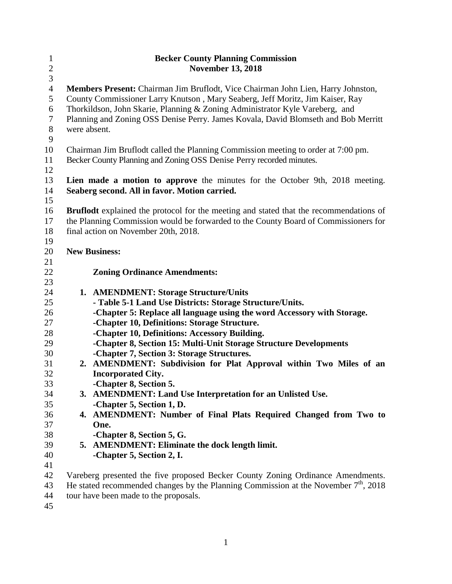| $\mathbf{1}$   |                                                                                       | <b>Becker County Planning Commission</b>                                                      |  |
|----------------|---------------------------------------------------------------------------------------|-----------------------------------------------------------------------------------------------|--|
| $\overline{c}$ |                                                                                       | <b>November 13, 2018</b>                                                                      |  |
| 3              |                                                                                       |                                                                                               |  |
| $\overline{4}$ |                                                                                       | Members Present: Chairman Jim Bruflodt, Vice Chairman John Lien, Harry Johnston,              |  |
| 5              |                                                                                       | County Commissioner Larry Knutson, Mary Seaberg, Jeff Moritz, Jim Kaiser, Ray                 |  |
| 6              |                                                                                       | Thorkildson, John Skarie, Planning & Zoning Administrator Kyle Vareberg, and                  |  |
| $\overline{7}$ |                                                                                       | Planning and Zoning OSS Denise Perry. James Kovala, David Blomseth and Bob Merritt            |  |
| $8\,$          | were absent.                                                                          |                                                                                               |  |
| 9              |                                                                                       |                                                                                               |  |
| 10             |                                                                                       | Chairman Jim Bruflodt called the Planning Commission meeting to order at 7:00 pm.             |  |
| 11             | Becker County Planning and Zoning OSS Denise Perry recorded minutes.                  |                                                                                               |  |
| 12             |                                                                                       |                                                                                               |  |
| 13             |                                                                                       | Lien made a motion to approve the minutes for the October 9th, 2018 meeting.                  |  |
| 14             |                                                                                       | Seaberg second. All in favor. Motion carried.                                                 |  |
| 15             |                                                                                       |                                                                                               |  |
| 16             |                                                                                       | <b>Bruflodt</b> explained the protocol for the meeting and stated that the recommendations of |  |
| 17             | the Planning Commission would be forwarded to the County Board of Commissioners for   |                                                                                               |  |
| 18             |                                                                                       | final action on November 20th, 2018.                                                          |  |
| 19             |                                                                                       |                                                                                               |  |
| 20             | <b>New Business:</b>                                                                  |                                                                                               |  |
| 21             |                                                                                       |                                                                                               |  |
| 22             |                                                                                       | <b>Zoning Ordinance Amendments:</b>                                                           |  |
| 23             |                                                                                       |                                                                                               |  |
| 24             |                                                                                       | 1. AMENDMENT: Storage Structure/Units                                                         |  |
| 25             |                                                                                       | - Table 5-1 Land Use Districts: Storage Structure/Units.                                      |  |
| 26             |                                                                                       | -Chapter 5: Replace all language using the word Accessory with Storage.                       |  |
| 27             |                                                                                       | -Chapter 10, Definitions: Storage Structure.                                                  |  |
| 28             |                                                                                       | -Chapter 10, Definitions: Accessory Building.                                                 |  |
| 29             |                                                                                       | -Chapter 8, Section 15: Multi-Unit Storage Structure Developments                             |  |
| 30             |                                                                                       | -Chapter 7, Section 3: Storage Structures.                                                    |  |
| 31             |                                                                                       | 2. AMENDMENT: Subdivision for Plat Approval within Two Miles of an                            |  |
| 32             |                                                                                       | <b>Incorporated City.</b>                                                                     |  |
| 33             |                                                                                       | -Chapter 8, Section 5.                                                                        |  |
| 34             |                                                                                       | 3. AMENDMENT: Land Use Interpretation for an Unlisted Use.                                    |  |
| 35             |                                                                                       | -Chapter 5, Section 1, D.                                                                     |  |
| 36             |                                                                                       | 4. AMENDMENT: Number of Final Plats Required Changed from Two to                              |  |
| 37             |                                                                                       | One.                                                                                          |  |
| 38             |                                                                                       | -Chapter 8, Section 5, G.                                                                     |  |
| 39             |                                                                                       | 5. AMENDMENT: Eliminate the dock length limit.                                                |  |
| 40             |                                                                                       | -Chapter 5, Section 2, I.                                                                     |  |
| 41             |                                                                                       |                                                                                               |  |
| 42             |                                                                                       | Vareberg presented the five proposed Becker County Zoning Ordinance Amendments.               |  |
| 43             | He stated recommended changes by the Planning Commission at the November $7th$ , 2018 |                                                                                               |  |
| 44             |                                                                                       | tour have been made to the proposals.                                                         |  |
| 45             |                                                                                       |                                                                                               |  |